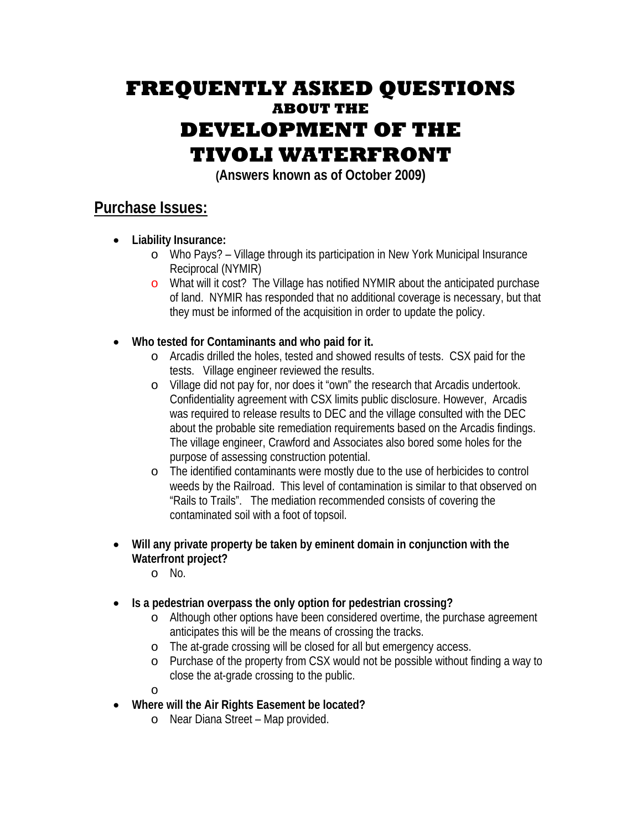## **FREQUENTLY ASKED QUESTIONS ABOUT THE DEVELOPMENT OF THE TIVOLI WATERFRONT**

**(Answers known as of October 2009)**

## **Purchase Issues:**

- **Liability Insurance:** 
	- o Who Pays? Village through its participation in New York Municipal Insurance Reciprocal (NYMIR)
	- o What will it cost? The Village has notified NYMIR about the anticipated purchase of land. NYMIR has responded that no additional coverage is necessary, but that they must be informed of the acquisition in order to update the policy.
- **Who tested for Contaminants and who paid for it.** 
	- o Arcadis drilled the holes, tested and showed results of tests. CSX paid for the tests. Village engineer reviewed the results.
	- o Village did not pay for, nor does it "own" the research that Arcadis undertook. Confidentiality agreement with CSX limits public disclosure. However, Arcadis was required to release results to DEC and the village consulted with the DEC about the probable site remediation requirements based on the Arcadis findings. The village engineer, Crawford and Associates also bored some holes for the purpose of assessing construction potential.
	- o The identified contaminants were mostly due to the use of herbicides to control weeds by the Railroad. This level of contamination is similar to that observed on "Rails to Trails". The mediation recommended consists of covering the contaminated soil with a foot of topsoil.
- **Will any private property be taken by eminent domain in conjunction with the Waterfront project?** 
	- o No.
- **Is a pedestrian overpass the only option for pedestrian crossing?** 
	- o Although other options have been considered overtime, the purchase agreement anticipates this will be the means of crossing the tracks.
	- o The at-grade crossing will be closed for all but emergency access.
	- o Purchase of the property from CSX would not be possible without finding a way to close the at-grade crossing to the public.
	- o
- **Where will the Air Rights Easement be located?** 
	- o Near Diana Street Map provided.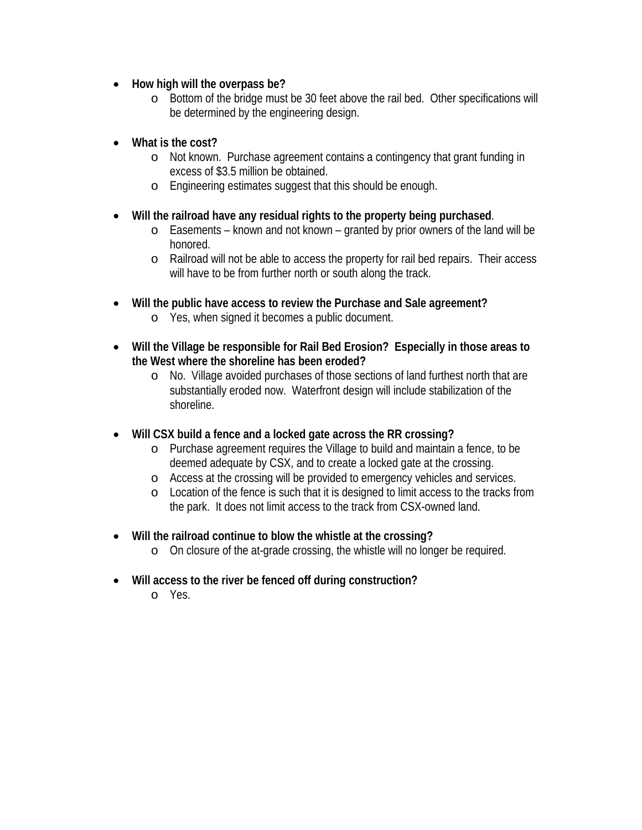- **How high will the overpass be?** 
	- o Bottom of the bridge must be 30 feet above the rail bed. Other specifications will be determined by the engineering design.
- **What is the cost?** 
	- o Not known. Purchase agreement contains a contingency that grant funding in excess of \$3.5 million be obtained.
	- o Engineering estimates suggest that this should be enough.
- **Will the railroad have any residual rights to the property being purchased**.
	- o Easements known and not known granted by prior owners of the land will be honored.
	- o Railroad will not be able to access the property for rail bed repairs. Their access will have to be from further north or south along the track.
- **Will the public have access to review the Purchase and Sale agreement?**  o Yes, when signed it becomes a public document.
- **Will the Village be responsible for Rail Bed Erosion? Especially in those areas to the West where the shoreline has been eroded?** 
	- o No. Village avoided purchases of those sections of land furthest north that are substantially eroded now. Waterfront design will include stabilization of the shoreline.
- **Will CSX build a fence and a locked gate across the RR crossing?** 
	- o Purchase agreement requires the Village to build and maintain a fence, to be deemed adequate by CSX, and to create a locked gate at the crossing.
	- o Access at the crossing will be provided to emergency vehicles and services.
	- o Location of the fence is such that it is designed to limit access to the tracks from the park. It does not limit access to the track from CSX-owned land.
- **Will the railroad continue to blow the whistle at the crossing?** 
	- o On closure of the at-grade crossing, the whistle will no longer be required.
- **Will access to the river be fenced off during construction?** 
	- o Yes.